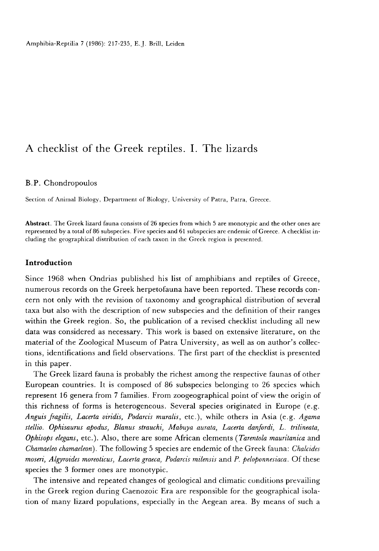# A checklist of the Greek reptiles. I. The lizards

# B.P. Chondropoulos

Section of Animal Biology, Department of Biology, University of Patra, Patra, Greece.

Abstract. The Greek lizard fauna consists of 26 species from which 5 are monotypic and the other ones are represented by a total of 86 subspecies. Five species and 61 subspecies are endemic of Greece. A checklist including the geographical distribution of each taxon in the Greek region is presented.

## Introduction

Since 1968 when Ondrias published his list of amphibians and reptiles of Greece, numerous records on the Greek herpetofauna have been reported. These records concern not only with the revision of taxonomy and geographical distribution of several taxa but also with the description of new subspecies and the definition of their ranges within the Greek region. So, the publication of a revised checklist including all new data was considered as necessary. This work is based on extensive literature, on the material of the Zoological Museum of Patra University, as well as on author's collections, identifications and field observations. The first part of the checklist is presented in this paper.

The Greek lizard fauna is probably the richest among the respective faunas of other European countries. It is composed of 86 subspecies belonging to 26 species which represent 16 genera from 7 families. From zoogeographical point of view the origin of this richness of forms is heterogeneous. Several species originated in Europe (e.g. Anguis fragilis, Lacerta viridis, Podarcis muralis, etc.), while others in Asia (e.g. Agama stellio. Ophisaurus apodus, Blanus strauchi, Mabuya aurata, Lacerta danfordi, L. trilineata, Ophisops elegans, etc.). Also, there are some African elements (Tarentola mauritanica and Chamaeleo chamaeleon). The following 5 species are endemic of the Greek fauna: Chalcides moseri, Algyroides moreoticus, Lacerta graeca, Podarcis milensis and P. peloponnesiaca . Of these species the 3 former ones are monotypic.

The intensive and repeated changes of geological and climatic conditions prevailing in the Greek region during Caenozoic Era are responsible for the geographical isolation of many lizard populations, especially in the Aegean area. By means of such a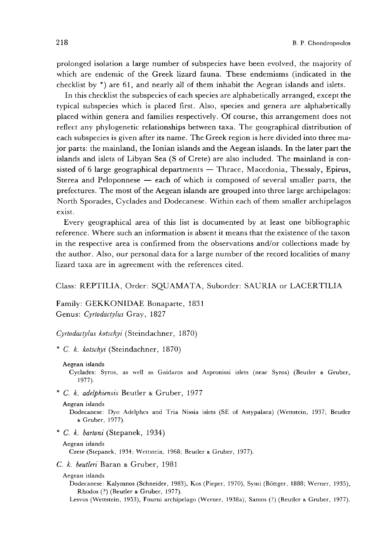In this checklist the subspecies of each species are alphabetically arranged, except the typical subspecies which is placed first. Also, species and genera are alphabetically placed within genera and families respectively. Of course, this arrangement does not reflect any phylogenetic relationships between taxa. The geographical distribution of each subspecies is given after its name. The Greek region is here divided into three major parts: the mainland, the Ionian islands and the Aegean islands. In the later part the islands and islets of Libyan Sea (S of Crete) are also included. The mainland is consisted of 6 large geographical departments  $-$  Thrace, Macedonia, Thessaly, Epirus, Sterea and Peloponnese  $-$  each of which is composed of several smaller parts, the prefectures. The most of the Aegean islands are grouped into three large archipelagos: North Sporades, Cyclades and Dodecanese. Within each of them smaller archipelagos exist.

Every geographical area of this list is documented by at least one bibliographic reference. Where such an information is absent it means that the existence of the taxon in the respective area is confirmed from the observations and/or collections made by the author. Also, our personal data for a large number of the record localities of many lizard taxa are in agreement with the references cited.

# Class: REPTILIA, Order: SQUAMATA, Suborder: SAURIA or LACERTILIA

Family: GEKKONIDAE Bonaparte, 1831 Genus: Cyrtodactylus Gray, 1827

Cyrtodactylus kotschyi (Steindachner, 1870)

\* C. k. kotschyi (Steindachner, 1870)

Cyclades: Syros, as well as Gaidaros and Aspronissi islets (near Syros) (Beutler & Gruber, 1977).

\* C. k. adelphiensis Beutler & Gruber, 1977

#### Aegean islands

Dodecanese: Dyo Adelphes and Tria Nissia islets (SE of Astypalaea) (Wettstein, 1937; Beutler & Gruber, 1977).

\* C. k. bartoni (Stepanek, 1934)

## Aegean islands

Crete (Stepanek, 1934; Wettstein, 1968; Beutler & Gruber, 1977).

C. k. beutleri Baran & Gruber, 1981

#### Aegean islands

Dodecanese: Kalymnos (Schneider, 1983), Kos (Pieper, 1970), Symi (Böttger, 1888; Werner, 1935), Rhodos (?) (Beutler & Gruber, 1977).

Lesvos (Wettstein, 1953), Fourni archipelago (Werner, 1938a), Samos (?) (Beutler & Gruber, 1977).

Aegean islands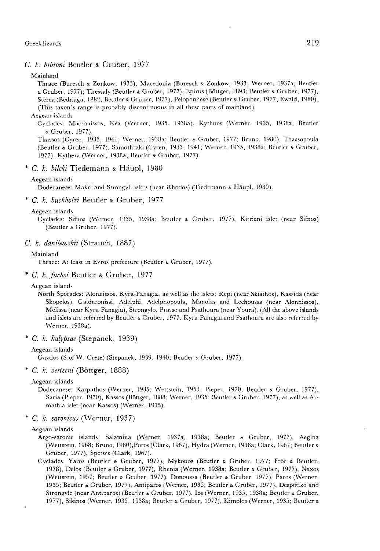# C. k. bibroni Beutler & Gruber, 1977

#### Mainland

Thrace (Buresch & Zonkow, 1933), Macedonia (Buresch & Zonkow, 1933; Werner, 1937a; Beutler & Gruber, 1977); Thessaly (Beutler & Gruber, 1977), Epirus (Bbttger, 1893; Beutler & Gruber, 1977), Sterea (Bedriaga, 1882; Beutler & Gruber, 1977), Peloponnese (Beutler & Gruber, 1977; Ewald, 1980). (This taxon's range is probably discontinuous in all these parts of mainland).

## Aegean islands

Cyclades: Macronissos, Kea (Werner, 1935, 1938a), Kythnos (Werner, 1935, 1938a; Beutler & Gruber, 1977).

Thassos (Cyren, 1933, 1941; Werner, 1938a; Beutler & Gruber, 1977; Bruno, 1980), Thassopoula (Beutler & Gruber, 1977), Samothraki (Cyren, 1933, 1941; Werner, 1935, 1938a; Beutler & Gruber, 1977), Kythera (Werner, 1938a; Beutler & Gruber, 1977).

## \* C. k. bileki Tiedemann & Häupl, 1980

#### Aegean islands

Dodecanese: Makri and Strongyli islets (near Rhodos) (Tiedemann & Häupl, 1980).

### \* C. k. buchholzi Beutler & Gruber, 1977

#### Aegean islands

Cyclades: Sifnos (Werner, 1935, 1938a; Beutler & Gruber, 1977), Kitriani islet (near Sifnos) (Beutler & Gruber, 1977).

## C. k. danilewskii (Strauch, 1887)

# Mainland

Thrace: At least in Evros prefecturc (Beutler & Gruber, 1977).

# \* C. k. fuchsi Beutler & Gruber, 1977

#### Aegean islands

North Sporades: Alonnissos, Kyra-Panagia, as well as the islets: Repi (near Skiathos), Kassida (near Skopelos), Gaidaronissi, Adelphi, Adelphopoula, Manolas and Lechoussa (near Alonnissos), Melissa (near Kyra-Panagia), Strongylo, Prasso and Psathoura (near Youra). (All the above islands and islets are referred by Beutler & Gruber, 1977. Kyra-Panagia and Psathoura are also referred by Werner, 1938a).

\* C. k. kalypsae (Stepanek, 1939)

## Aegean islands

Gavdos (S of W. Crete) (Stepanek, 1939, 1940; Beutler & Gruber, 1977).

# \* C. k. oertzeni (Böttger, 1888)

Aegean islands

Dodecanese: Karpathos (Werner, 1935; Wettstein, 1953; Pieper, 1970; Beutler & Gruber, 1977), Saria (Pieper, 1970), Kassos (B6ttger, 1888; Werner, 1935; Beutler & Gruber, 1977), as well as Armathia islet (near Kassos) (Werner, 1935).

. C. k. saronicus (Werner, 1937)

#### Aegean islands

- Argo-saronic islands: Salamina (Werner, 1937a, 1938a; Beutler & Gruber, 1977), Aegina (Wettstein, 1968; Bruno, 1980),Poros (Clark, 1967), Hydra (Werner, 1938a; Clark, 1967; Beutler & Gruber, 1977), Spetses (Clark, 1967).
- Cyclades: Yaros (Beutler & Gruber, 1977), Mykonos (Beutler & Gruber, 1977; Frör & Beutler, 1978), Delos (Beutler & Gruber, 1977), Rhenia (Werner, 1938a; Beutler & Gruber, 1977), Naxos (Wettstein, 1957; Beutler & Gruber, 1977), Donoussa (Beutler & Gruber 1977), Paros (Werner. 1935; Beutler & Gruber, 1977), Antiparos (Werner, 1935; Beutler & Gruber, 1977), Despotiko and Strongylo (near Antiparos) (Beutler & Gruber, 1977), los (Werner, 1935, 1938a; Beutler & Gruber, 1977), Sikinos (Werner, 1935, 1938a; Beutler & Gruber, 1977), Kimolos (Werner, 1935; Beutler &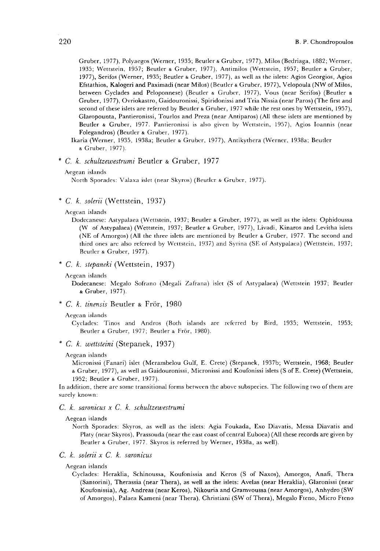Gruber, 1977), Polyaegos (Werner, 1935; Beutler & Gruber, 1977), Milos (Bedriaga, 1882; Werner, 1935; Wettstein, 1957; Beutler & Gruber, 1977), Antimilos (Wettstein, 1957; Beutler & Gruber, 1977), Serifos (Werner, 1935; Beutler & Gruber, 1977), as well as the islets: Agios Georgios, Agios Efstathios, Kalogeri and Paximadi (near Milos) (Beutler & Gruber, 1977), Velopoula (NW of Milos, between Cyclades and Peloponnese) (Beutler & Gruber, 1977), Vous (near Serifos) (Beutler & Gruber, 1977), Ovriokastro, Gaidouronissi, Spiridonissi and Tria Nissia (near Paros) (The first and second of these islets are referred by Beutler & Gruber, 1977 while the rest ones by Wettstein, 1957), Glaropounta, Pantieronissi, Tourlos and Preza (near Antiparos) (All these islets are mentioned by Beutler & Gruber, 1977. Pantieronissi is also given by Wettstein, 1957), Agios Ioannis (near Folegandros) (Beutler & Gruber, 1977).

- Ikaria (Werner, 1935, 1938a; Beutler & Gruber, 1977), Antikythera (Werner, 1938a; Beutler & Gruber, 1977).
- . C. k. schultzewestrumi Beutler & Gruber, 1977
	- Aegean islands

North Sporades: Valaxa islet (near Skyros) (Beutler & Gruber, 1977).

- \* C. k. solerii (Wettstein, 1937)
	- Aegean islands

Dodecanese: Astypalaea (Wettstein, 1937; Beutler & Gruber, 1977), as well as the islets: Ophidoussa (W of Astypalaca) (Wettstein, 1937; Beutler & Gruber, 1977), Livadi, Kinaros and Levitha islets (NE of Amorgos) (All the three islets are mentioned by Beutler & Gruber, 1977. The second and third ones are also referred by Wettstein, 1937) and Syrina (SE of Astypalaea) (Wettstein, 1937; Beutler & Gruber, 1977).

- \* C. k. stepaneki (Wettstein, 1937)
	- Aegean islands

Dodecanese: Megalo Sofrano (Megali Zafrana) islet (S of Astypalaea) (Wettstein 1937; Beutler & Gruber, 1977).

\* C. k. tinensis Beutler & Frör, 1980

## Aegean islands

Cyclades: Tinos and Andros (Both islands are referred by Bird, 1935; Wettstein, 1953; Beutler & Gruber, 1977; Beutler & Frör, 1980).

\* C. k. roettsteini (Stepanek, 1937)

#### Aegean islands

Micronissi (Fanari) islet (Merambelou Gulf, E. Crete) (Stepanek, 1937b; Wettstein, 1968; Beutler & Gruber, 1977), as well as Gaidouronissi, Micronissi and Koufonissi islets (S of E. Crete) (Wettstein, 1952; Beutler & Gruber, 1977).

In addition, there are some transitional forms between the above subspecies. The following two of them are surely known:

## C. k. saronicus x C. k. schultzewestrumi

#### Aegean islands

North Sporades: Skyros, as well as the islets: Agia Foukada, Exo Diavatis, Messa Diavatis and Platy (near Skyros), Prassouda (near the east coast of central Euboea) (All these records are given by Beutler & Gruber, 1977. Skyros is referred by Werner, 1938a, as well).

## C. k. solerii x C. k. saronicus

Aegean islands

Cyclades: Heraklia, Schinoussa, Koufonissia and Keros (S of Naxos), Amorgos, Anafi, Thera (Santorini), Therassia (near Thera), as well as the islets: Avelas (near Heraklia), Glaronissi (near Koufonissia), Ag. Andreas (near Keros), Nikouria and Gramvoussa (near Amorgos), Anhydro (SW of Amorgos), Palaea Kameni (near Thera), Christiani (SW of Thera), Megalo Fteno, Micro Fteno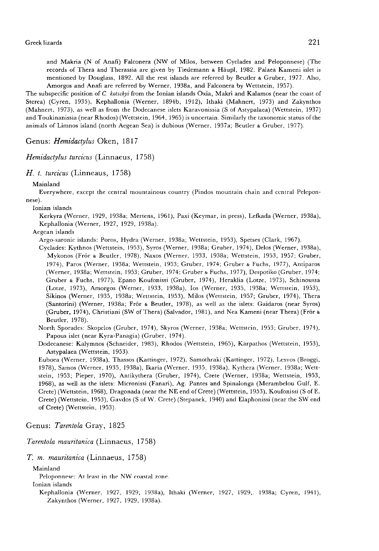and Makria (N of Anafi) Falconera (NW of Milos, between Cyclades and Peloponnese) (The records of Thera and Therassia are given by Tiedemann & Haupl, 1982. Palaea Kameni islet is mentioned by Douglass, 1892. All the rest islands are referred by Beutler & Gruber, 1977. Also, Amorgos and Anafi are referred by Werner, 1938a, and Falconera by Wettstein, 1957).

The subspecific position of C. kotschyi from the Ionian islands Oxia, Makri and Kalamos (near the coast of Sterea) (Cyren, 1935), Kephallonia (Werner, 1894b, 1912), Ithaki (Mahnert, 1973) and Zakynthos (Mahnert, 1973), as well as from the Dodecanese islets Karavonissia (S of Astypalaea) (Wettstein, 1937) and Toukinanissia (near Rhodos) (Wettstein, 1964, 1965) is uncertain. Similarly the taxonomic status of the animals of Limnos island (north Aegean Sea) is dubious (Werner, 1937a; Beutler & Gruber, 1977).

Genus: Hemidactylus Oken, 1817

## Hemidactylus turcicus (Linnaeus, 1758)

H. t. turcicus (Linneaus, 1758)

Mainland

Everywhere, except the central mountainous country (Pindos mountain chain and central Peleponnese).

Ionian islands

Kerkyra (Werner, 1929, 1938a; Mertens, 1961), Paxi (Keymar, in press), Lefkada (Werner, 1938a), Kephallonia (Werner, 1927, 1929, 1938a).

Aegean islands

Argo-saronic islands: Poros, Hydra (Werner, 1938a; Wettstein, 1953), Spetses (Clark, 1967).

Cyclades: Kythnos (Wettstein, 1953), Syros (Werner, 1938a; Gruber, 1974), Delos (Werner, 1938a), Mykonos (Frör & Beutler, 1978), Naxos (Werner, 1933, 1938a; Wettstein, 1953, 1957; Gruber, 1974), Paros (Werner, 1938a; Wettstein, 1953; Gruber, 1974; Gruber & Fuchs, 1977), Antiparos (Werner, 1938a; Wettstein, 1953; Gruber, 1974; Gruber & Fuchs, 1977), Despotiko (Gruber, 1974; Gruber & Fuchs, 1977), Epano Koufonissi (Gruber, 1974), Heraklia (Lotze, 1973), Schinoussa (Lotze, 1973), Amorgos (Werner, 1933, 1938a), Ios (Werner, 1935, 1938a; Wettstein, 1953), Sikinos (Werner, 1935, 1938a; Wettstein, 1953), Milos (Wettstein, 1957; Gruber, 1974), Thera (Santorini) (Werner, 1938a; Frör & Beutler, 1978), as well as the islets: Gaidaros (near Syros) (Gruber, 1974), Christiani (SW of Thera) (Salvador, 1981), and Nea Kameni (near Thera) (Fr6r & Beutler, 1978).

North Sporades: Skopelos (Gruber, 1974), Skyros (Werner, 1938a; Wettstein, 1953; Gruber, 1974), Papous islet (near Kyra-Panagia) (Gruber, 1974).

Dodecanese: Kalymnos (Schneider, 1983), Rhodos (Wettstein, 1965), Karpathos (Wettstein, 1953), Astypalaea (Wettstein, 1953).

Euboea (Werner, 1938a), Thassos (Kattinger, 1972), Samothraki (Kattinger, 1972), Lesvos (Broggi, 1978), Samos (Werner, 1935, 1938a), Ikaria (Werner, 1935, 1938a), Kythera (Werner, 1938a; Wettstein, 1953; Pieper, 1970), Antikythera (Gruber, 1974), Crete (Werner, 1938a; Wettstein, 1953, 1968), as well as the islets: Micronissi (Fanari), Ag. Pantes and Spinalonga (Merambelou Gulf, E. Crete) (Wettstein, 1968), Dragonada (near the NE end of Crete) (Wettstein, 1953), Koufonissi (S of E. Crete) (Wettstein, 1953), Gavdos (S of W. Crete) (Stepanek, 1940) and Elaphonissi (near the SW end of Crete) (Wettstein, 1953).

Genus: Tarentola Gray, 1825

Tarentola mauritanica (Linnaeus, 1758)

### T. m. mauritanica (Linnaeus, 1758)

Mainland

Peloponnese: At least in the NW coastal zone

Ionian islands

Kephallonia (Werner, 1927, 1929, 1938a), Ithaki (Werner, 1927, 1929,. 1938a; Cyren, 1941), Zakynthos (Werner, 1927, 1929, 1938a).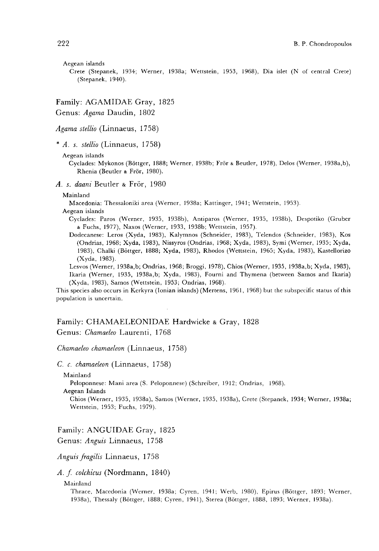Aegean islands

Crete (Stepanek, 1934; Werner, 1938a; Wettstein, 1953, 1968), Dia islet (N of central Crete) (Stepanek, 1940).

Family: AGAMIDAE Gray, 1825 Genus: Agama Daudin, 1802

#### Agama stellio (Linnaeus, 1758)

 $* A. s.$  stellio (Linnaeus, 1758)

Aegean islands

Cyclades: Mykonos (Böttger, 1888; Werner, 1938b; Frör & Beutler, 1978), Delos (Werner, 1938a,b), Rhenia (Beutler & Frör, 1980).

A. s. daani Beutler & Frör, 1980

## Mainland

Macedonia: Thessaloniki area (Werner, 1938a; Kattinger, 1941; Wettstein, 1953).

Aegean islands

Cyclades: Paros (Werner, 1935, 1938b), Antiparos (Werner, 1935, 1938b), Despotiko (Gruber & Fuchs, 1977), Naxos (Werner, 1933, 1938b; Wettstein, 1957).

Dodecanese: Leros (Xyda, 1983), Kalymnos (Schneider, 1983), Telendos (Schneider, 1983), Kos (Ondrias, 1968; Xyda, 1983), Nissyros (Ondrias, 1968; Xyda, 1983), Symi (Werner, 1935; Xyda, 1983), Chalki (B6ttger, 1888; Xyda, 1983), Rhodos (Wettstein, 1965; Xyda, 1983), Kastellorizo (Xyda, 1983).

Lesvos (Werner, 1938a,b; Ondrias, 1968; Broggi, 1978), Chios (Werner, 1935, 1938a,b; Xyda, 1983), Ikaria (Werner, 1935, 1938a,b; Xyda, 1983), Fourni and Thymena (between Samos and Ikaria) (Xyda, 1983), Samos (Wettstein, 1953; Ondrias, 1968).

This species also occurs in Kerkyra (Ionian islands) (Mertens, 1961, 1968) but the subspecific status of this population is uncertain.

# Family: CHAMAELEONIDAE Hardwicke & Gray, 1828 Genus: Chamaeleo Laurenti, 1768

Chamaeleo chamaeleon (Linnaeus, 1758)

C. c. chamaeleon (Linnaeus, 1758)

Mainland

Peloponnese: Mani area (S. Peloponnese) (Schreiber, 1912; Ondrias, 1968).

Aegean Islands

Chios (Werner, 1935, 1938a), Samos (Werner, 1935, 1938a), Crete (Stepanek, 1934; Werner, 1938a; Wettstein, 1953; Fuchs, 1979).

Family: ANGUIDAE Gray, 1825 Genus: Anguis Linnaeus, 1758

Anguis fragilis Linnaeus, 1758

A. f. colchicus (Nordmann, 1840)

Mainland

Thrace, Macedonia (Werner, 1938a; Cyren, 1941; Werb, 1980), Epirus (B6ttger, 1893; Werner, 1938a), Thessaly (B6ttger, 1888; Cyren, 1941), Sterea (Böttgcr, 1888, 1893; Werner, 1938a).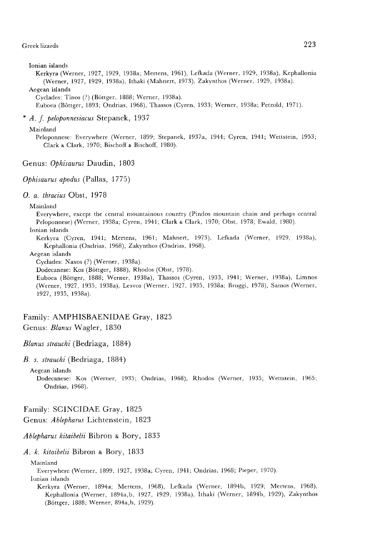Ionian islands

Kerkyra (Werner, 1927, 1929, 1938a; Mertens, 1961), Lefkada (Werner, 1929, 1938a), Kephallonia (Werner, 1927, 1929, 1938a), Ithaki (Mahnert, 1973), Zakynthos (Werner, 1929, 1938a). Aegean islands

Cyclades: Tinos (?) (B6ttger, 1888; Werner, 1938a).

Euboea (B6ttger, 1893; Ondrias, 1968), Thassos (Cyren, 1933; Werner, 1938a; Petzold, 1971).

\* A. f. peloponnesiacus Stepanek, 1937

#### Mainland

Peloponnese: Everywhere (Werner, 1899; Stepanek, 1937a, 1944; Cyren, 1941; Wettstein, 1953; Clark & Clark, 1970; Bischoff & Bischoff, 1980).

Genus: Ophisaurus Daudin, 1803

Ophisaurus apodus (Pallas, 1775)

O. a. thracius Obst, 1978

#### Mainland

Everywhere, except the central mountainous country (Pindos mountain chain and perhaps central Peloponnese) (Werner, 1938a; Cyren, 1941; Clark & Clark, 1970; Obst, 1978; Ewald, 1980). Ionian islands

Kerkyra (Cyren, 1941; Mertens, 1961; Mahnert, 1973), Lefkada (Werner, 1929, 1938a), Kephallonia (Ondrias, 1968), Zakynthos (Ondrias, 1968).

## Aegean islands

Cyclades: Naxos (?) (Werner, 1938a).

Dodecanese: Kos (B6ttger, 1888), Rhodos (Obst, 1978).

Euboea (Böttger, 1888; Werner, 1938a), Thassos (Cyren, 1933, 1941; Werner, 1938a), Limnos (Werner, 1927, 1935, 1938a), Lesvos (Werner, 1927, 1935, 1938a; Broggi, 1978), Samos (Werner, 1927, 1935, 1938a).

# Family: AMPHISBAENIDAE Gray, 1825

Genus: Blanus Wagler, 1830

Blanus strauchi (Bedriaga, 1884)

B. s. strauchi (Bedriaga, 1884)

Aegean islands

Dodecanese: Kos (Werner, 1935; Ondrias, 1968), Rhodos (Werner, 1935; Wettstein, 1965; Ondrias, 1968).

# Family: SCINCIDAE Gray, 1825

Genus: Ablepharus Lichtenstein, 1823

Ablepharus kitaibelii Bibron & Bory, 1833

A. k. kitaibelii Bibron & Bory, 1833

Mainland

Everywhere (Werner, 1899, 1927, 1938a; Cyren, 1941; Ondrias, 1968; Pieper, 1970). Ionian islands

Kerkyra (Werner, 1894a; Mertens, 1968), Lefkada (Werner, 1894b, 1929; Mertens, 1968), Kephallonia (Werner, 1894a,b, 1927, 1929, 1938a), Ithaki (Werner, 1894b, 1929), Zakynthos (B6ttger, 1888; Werner, 894a,b, 1929).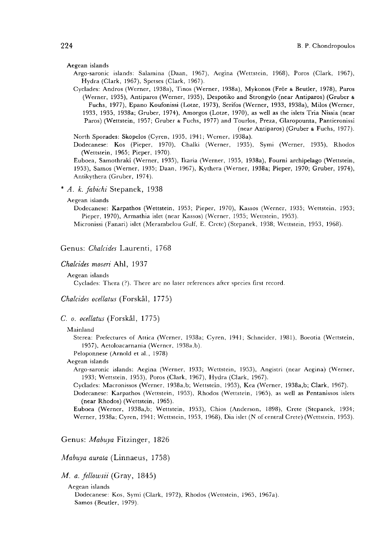#### Aegean islands

- Argo-saronic islands: Salamina (Daan, 1967), Aegina (Wettstein, 1968), Poros (Clark, 1967), Hydra (Clark, 1967), Spetses (Clark, 1967).
- Cyclades: Andros (Werner, 1938a), Tinos (Werner, 1938a), Mykonos (Fr6r & Beutler, 1978), Paros (Werner, 1935), Antiparos (Werner, 1935), Despotiko and Strongylo (near Antiparos) (Gruber & Fuchs, 1977), Epano Koufonissi (Lotze, 1973), Serifos (Werner, 1933, 1938a), Milos (Werner, 1933, 1935, 1938a; Gruber, 1974), Amorgos (Lotze, 1970), as well as the islets Tria Nissia (near Paros) (Wettstein, 1957; Gruber & Fuchs, 1977) and Tourlos, Preza, Glaropounta, Pantieronissi (near Antiparos) (Gruber & Fuchs, 1977).

North Sporades: Skopelos (Cyren, 1935, 1941; Werner, 1938a).

Dodecanese: Kos (Pieper, 1970), Chalki (Werner, 1935), Symi (Werner, 1935), Rhodos (Wettstein, 1965; Pieper, 1970).

Euboea, Samothraki (Werner, 1935), Ikaria (Werner, 1935, 1938a), Fourni archipelago (Wettstein, 1953), Samos (Werner, 1935; Daan, 1967), Kythera (Werner, 1938a; Pieper, 1970; Gruber, 1974), Antikythera (Gruber, 1974).

\* A. k. fabichi Stepanek, 1938

#### Aegean islands

Dodecanese: Karpathos (Wettstein, 1953; Pieper, 1970), Kassos (Werner, 1935; Wettstein, 1953; Pieper, 1970), Armathia islet (near Kassos) (Werner, 1935; Wettstein, 1953).

Micronissi (Fanari) islet (Merambclou Gulf, E. Crete) (Stepanek, 1938; Wettstein, 1953, 1968).

Genus: Chalcides Laurenti, 1768

#### Chalcides moseri Ahl, 1937

Aegean islands

Cyclades: Thera (?). There are no later references after species first record.

#### Chaleides ocellatus (Forskål, 1775)

#### C. o. ocellatus (Forskål, 1775)

#### Mainland

Sterea: Prefectures of Attica (Werner, 1938a; Cyren, 1941; Schneider, 1981), Boeotia (Wettstein, 1957), Aetoloacarnania (Werner, 1938a,b).

Peloponnese (Arnold et al., 1978)

## Aegean islands

Argo-saronic islands: Aegina (Werner, 1933; Wettstein, 1953), Angistri (near Aegina) (Werner, 1933; Wettstein, 1953), Poros (Clark, 1967), Hydra (Clark, 1967).

Cyclades: Macronissos (Werner, 1938a,b; Wettstein, 1953), Kea (Werner, 1938a,b; Clark, 1967).

Dodecanese: Karpathos (Wettstein, 1953), Rhodos (Wettstein, 1965), as well as Pentanissos islets (near Rhodos) (Wettstein, 1965).

Euboea (Werner, 1938a,b; Wettstein, 1953), Chios (Anderson, 1898), Crete (Stepanek, 1934; Werner, 1938a; Cyren, 1941; Wettstein, 1953, 1968), Dia islet (N of central Crete) (Wettstein, 1953).

Genus: Mabuya Fitzinger, 1826

Mabuya aurata (Linnaeus, 1758)

M. a. fellowsii (Gray, 1845)

Aegean islands

Dodecanese: Kos, Symi (Clark, 1972), Rhodos (Wettstein, 1965, 1967a). Samos (Beutler, 1979).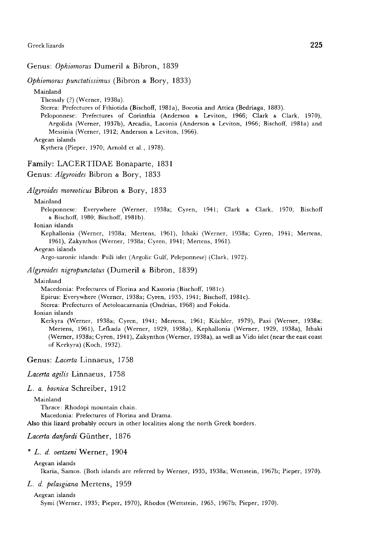## Genus: Ophiomorus Dumeril & Bibron, 1839

Ophiomorus punctatissimus (Bibron & Bory, 1833)

Mainland Thessaly (?) (Werner, 1938a). Sterea: Prefectures of Fthiotida (Bischoff, 1981a), Boeotia and Attica (Bedriaga, 1883). Peloponnese: Prefectures of Corinthia (Anderson & Leviton, 1966; Clark & Clark, 1970), Argolida (Werner, 1937b), Arcadia, Laconia (Anderson & Leviton, 1966; Bischoff, 1981a) and Messinia (Werner, 1912; Anderson & Leviton, 1966). Aegean islands Kythera (Pieper, 1970; Arnold et al., 1978). Family: LACERTIDAE Bonaparte, 1831 Genus: Algyroides Bibron & Bory, 1833

Algyroides moreoticus Bibron & Bory, 1833

#### Mainland

Peloponnese: Everywhere (Werner, 1938a; Cyren, 1941; Clark & Clark, 1970; Bischoff & Bischoff, 1980; Bischoff, 1981b).

Ionian islands

Kephallonia (Werner, 1938a; Mertens, 1961), Ithaki (Werner, 1938a; Cyren, 1941; Mertens, 1961), Zakynthos (Werner, 1938a; Cyren, 1941; Mertens, 1961).

Aegean islands

Argo-saronic islands: Psili islet (Argolic Gulf, Peleponnese) (Clark, 1972).

## Algyroides nigropunctatus (Dumeril & Bibron, 1839)

Mainland

Macedonia: Prefectures of Florina and Kastoria (Bischoff, 1981c).

Epirus: Everywhere (Werner, 1938a; Cyren, 1935, 1941; Bischoff, 1981c).

Sterea: Prefectures of Aetoloacarnania (Ondrias, 1968) and Fokida.

# Ionian islands

Kerkyra (Werner, 1938a; Cyren, 1941; Mertens, 1961; Küchler, 1979), Paxi (Werner, 1938a; Mertens, 1961), Lefkada (Werner, 1929, 1938a), Kephallonia (Werner, 1929, 1938a), Ithaki (Werner, 1938a; Cyren, 1941), Zakynthos (Werner, 1938a), as well as Vido islet (near the east coast of Kerkyra) (Koch, 1932).

Genus: Lacerta Linnaeus, 1758

Lacerta agilis Linnaeus, 1758

L. a. bosnica Schreiber, 1912

Mainland

Thrace: Rhodopi mountain chain.

Macedonia: Prefectures of Florina and Drama.

Also this lizard probably occurs in other localities along the north Greek borders.

# Lacerta danfordi Günther, 1876

\* L. d. oertzeni Werner, 1904

Aegean islands

Ikaria, Samos. (Both islands are referred by Werner, 1935, 1938a; Wettstein, 1967b; Pieper, 1970).

## L. d. pelasgiana Mertens, 1959

Aegean islands Symi (Werner, 1935; Pieper, 1970), Rhodos (Wettstein, 1965, 1967b; Pieper, 1970).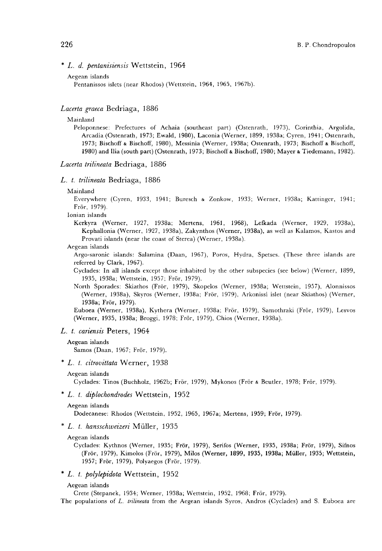# \* L. d. pentanisiensis Wettstein, 1964

```
Aegean islands
```
Pentanissos islets (near Rhodos) (Wettstein, 1964, 1965, 1967b).

# Lacerta graeca Bedriaga, 1886

## Mainland

Peloponnese: Prefectures of Achaia (southeast part) (Ostenrath, 1973), Corinthia, Argolida, Arcadia (Ostenrath, 1973; Ewald, 1980), Laconia (Werner, 1899, 1938a; Cyren, 1941; Ostenrath, 1973; Bischoff & Bischoff, 1980), Messinia (Werner, 1938a; Ostenrath, 1973; Bischoff & Bischoff, 1980) and Ilia (south part) (Ostenrath, 1973; Bischoff & Bischoff, 1980; Mayer & Tiedemann, 1982).

## Lacerta trilineata Bedriaga, 1886

#### L. t. trilineata Bedriaga, 1886

#### Mainland

Everywhere (Cyren, 1933, 1941; Buresch & Zonkow, 1933; Werner, 1938a; Kattinger, 1941; Fr6r, 1979).

Ionian islands

Kerkyra (Werner, 1927, 1938a; Mertens, 1961, 1968), Lefkada (Werner, 1929, 1938a), Kephallonia (Werner, 1927, 1938a), Zakynthos (Werner, 1938a), as well as Kalamos, Kastos and Provati islands (near the coast of Sterea) (Werner, 1938a).

#### Aegean islands

Argo-saronic islands: Salamina (Daan, 1967), Poros, Hydra, Spetses. (These three islands are referred by Clark, 1967).

Cyclades: In all islands except those inhabited by the other subspecies (see below) (Werner, 1899, 1935, 1938a; Wettstein, 1957; Frör, 1979).

North Sporades: Skiathos (Frör, 1979), Skopelos (Werner, 1938a; Wettstein, 1957), Alonnissos (Werner, 1938a), Skyros (Werner, 1938a; Fr6r, 1979), Arkonissi islet (near Skiathos) (Werner, 1938a; Frör, 1979).

Euboea (Werner, 1938a), Kythera (Werner, 1938a; Frör, 1979), Samothraki (Frör, 1979), Lesvos (Werner, 1935, 1938a; Broggi, 1978; Fr6r, 1979), Chios (Werner, 1938a).

## L. t. cariensis Peters, 1964

#### Aegean islands

Samos (Daan, 1967; Frör, 1979).

\* L. t. citrovittata Werner, 1938

Cyclades: Tinos (Buchholz, 1962b; Frör, 1979), Mykonos (Frör & Beutler, 1978; Frör, 1979).

\* L. t. diplochondrodes Wettstein, 1952

#### Aegean islands

Dodecanese: Rhodos (Wettstein, 1952, 1965, 1967a; Mertens, 1959; Frör, 1979).

\* L. t. hansschweizeri Müller, 1935

#### Aegean islands

Cyclades: Kythnos (Werner, 1935; Frör, 1979), Serifos (Werner, 1935, 1938a; Frör, 1979), Sifnos (Frör, 1979), Kimolos (Frör, 1979), Milos (Werner, 1899, 1935, 1938a; Müller, 1935; Wettstein, 1957; Frör, 1979), Polyaegos (Frör, 1979).

\* L. t. polylepidota Wettstein, 1952

#### Aegean islands

Crete (Stepanek, 1934; Werner, 1938a; Wettstein, 1952, 1968; Frör, 1979).

The populations of L. trilineata from the Aegean islands Syros, Andros (Cyclades) and S. Euboea are

Aegean islands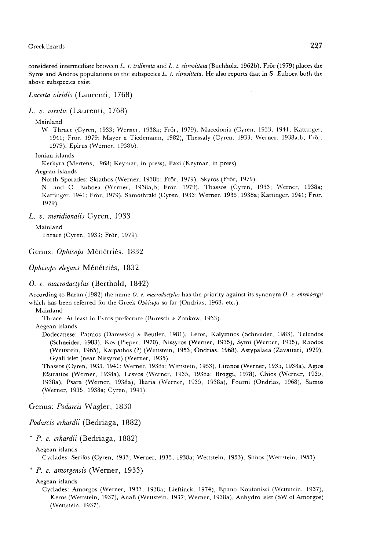considered intermediate between L. t. trilineata and L. t. citrovittata (Buchholz, 1962b). Frör (1979) places the Syros and Andros populations to the subspecies L. t. citrovittata. He also reports that in S. Euboea both the above subspecies exist.

## Lacerta viridis (Laurenti, 1768)

 $L$ . v. viridis (Laurenti, 1768)

#### Mainland

W. Thrace (Cyren, 1933; Werner, 1938a; Frör, 1979), Macedonia (Cyrcn, 1933, 1941; Kattinger, 1941; Frör, 1979; Mayer & Tiedemann, 1982), Thessaly (Cyren, 1933; Werner, 1938a,b; Fr6r, 1979), Epirus (Werner, 1938b).

## Ionian islands

Kerkyra (Mertens, 1968; Keymar, in press), Paxi (Keymar, in press).

## Aegean islands

North Sporades: Skiathos (Werner, 1938b; Frör, 1979), Skyros (Frör, 1979).

N. and C. Euboea (Werner, 1938a,b; Frör, 1979), Thassos (Cyren, 1933; Werner, 1938a; Kattinger, 1941; Frör, 1979), Samothraki (Cyren, 1933; Werner, 1935, 1938a; Kattinger, 1941; Frör, 1979).

## L. v. meridionalis Cyren, 1933

## Mainland

Thrace (Cyren, 1933; Frör, 1979).

# Genus: Ophisops Ménétriés, 1832

Ophisops elegans Ménétriés, 1832

## O. e. macrodactylus (Berthold, 1842)

According to Baran (1982) the name O. e. macrodactylus has the priority against its synonym O. e. ehrenbergii which has been referred for the Greek Ophisops so far (Ondrias, 1968, etc.).

Mainland

Thrace: At least in Evros prefecture (Buresch & Zonkow, 1933).

Aegean islands

Dodecanese: Patmos (Darewskij & Beutler, 1981), Leros, Kalymnos (Schneider, 1983), Telendos (Schneider, 1983), Kos (Pieper, 1970), Nissyros (Werner, 1935), Symi (Werner, 1935), Rhodos (Wettstein, 1965), Karpathos (?) (Wettstein, 1953; Ondrias, 1968), Astypalaea (Zavattari, 1929), Gyali islet (near Nissyros) (Werner, 1935).

Thassos (Cyren, 1933, 1941; Werner, 1938a; Wettstein, 1953), Limnos (Werner, 1935, 1938a), Agios Efstratios (Werner, 1938a), Lesvos (Werner, 1935, 1938a; Broggi, 1978), Chios (Werner, 1935, 1938a), Psara (Werner, 1938a), Ikaria (Werner, 1935, 1938a), Fourni (Ondrias, 1968), Samos (Werner, 1935, 1938a; Cyren, 1941).

Genus: Podarcis Wagler, 1830

Podarcis erhardii (Bedriaga, 1882)

\* P. e. erhardii (Bedriaga, 1882)

# Aegean islands

Cyclades: Serifos (Cyren, 1933; Werner, 1935, 1938a; Wettstein, 1953), Sifnos (Wettstein, 1953).

# \* P. e. amorgensis (Werner, 1933)

## Aegean islands

Cyclades: Amorgos (Werner, 1933, 1938a; Lieftinck, 1974), Epano Koufonissi (Wettstein, 1937), Keros (Wettstein, 1937), Anafi (Wettstein, 1937; Werner, 1938a), Anhydro islet (SW of Amorgos) (Wettstein, 1937).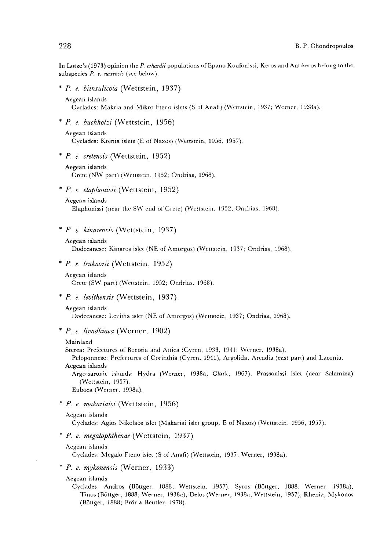In Lotze's (1973) opinion the P. erhardii populations of Epano Koufonissi, Keros and Antikeros belong to the subspecies  $P$ . e. naxensis (see below).

\* P. e. biinsulicola (Wettstein, 1937)

```
Aegean islands
```
Cyclades: Makria and Mikro Fteno islets (S of Anafi) (Wettstein, 1937; Werner, 1938a).

\* P. e. buchholzi (Wettstein, 1956)

Aegean islands Cyclades: Ktenia islets (E of Naxos) (Wettstein, 1956, 1957).

\* P. e. cretensis (Wettstein, 1952)

Aegean islands

Crete (NW part) (Wettstein, 1952; Ondrias, 1968).

 $*$  P. e. elaphonisii (Wettstein, 1952)

```
Aegean islands
```
Elaphonissi (near the SW end of Crete) (Wettstein. 1952; Ondrias, 1968).

\* P. e. kinarensis (Wettstein, 1937)

```
Aegean islands
```
Dodecanese: Kinaros islet (NE of Amorgos) (Wettstein, 1937; Ondrias, 1968).

\* P. e. leukaorii (Wettstein, 1952)

```
Aegean islands 
Crete (SW part) (Wettstein, 1952; Ondrias, 1968).
```
# \* P. e. levithensis (Wettstein, 1937)

Aegean islands

Dodecanese: Levitha islet (NE of Amorgos) (Wettstein, 1937; Ondrias, 1968).

 $*$  P. e. livadhiaca (Werner, 1902)

#### Mainland

Sterea: Prefectures of Boeotia and Attica (Cyren, 1933, 1941; Werner, 1938a).

Peloponnese: Prefectures of Corinthia (Cyren, 1941), Argolida, Arcadia (east part) and Laconia. Aegean islands

Argo-saronic islands: Hydra (Werner, 1938a; Clark, 1967), Prassonissi islet (near Salamina) (Wettstein, 1957).

Euboea (Werner, 1938a).

\* P. e. makariaisi (Wettstein, 1956)

```
Aegean islands
```
Cyclades: Agios Nikolaos islet (Makariai islet group, E of Naxos) (Wettstein, 1956, 1957).

# \* P. e. megalophthenae (Wettstein, 1937)

Aegean islands

Cyclades: Megalo Fteno islet (S of Anafi) (Wettstein, 1937; Werner, 1938a).

\* P. e. mykonensis (Werner, 1933)

Aegean islands

Cyclades: Andros (B6ttger, 1888; Wettstein, 1957), Syros (B6ttger, 1888; Werner, 1938a), Tinos (B6ttger, 1888; Werner, 1938a), Delos (Werner, 1938a; Wettstein, 1957), Rhenia, Mykonos (Böttger, 1888; Frör & Beutler, 1978).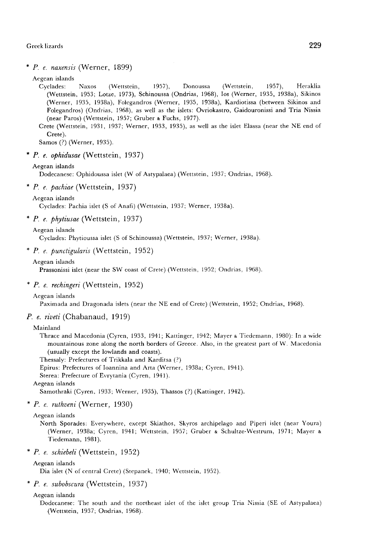\* P. e. naxensis (Werner, 1899)

# Aegean islands

Cyclades: Naxos (Wettstein, 1957), Donoussa (Wettstein, 1957), Heraklia (Wettstein, 1953; Lotze, 1973), Schinoussa (Ondrias, 1968), Ios (Werner, 1935, 1938a), Sikinos (Werner, 1935, 1938a), Folegandros (Werner, 1935, 1938a), Kardiotissa (between Sikinos and Folegandros) (Ondrias, 1968), as well as the islets: Ovriokastro, Gaidouronissi and Tria Nissia (near Paros) (Wettstein, 1957; Gruber & Fuchs, 1977).

Crete (Wettstein, 1931, 1937; Werner, 1933, 1935), as well as the islet Elassa (near the NE end of Crete).

Samos (?) (Werner, 1935).

\* P. e. ophidusae (Wettstein, 1937)

#### Aegean islands

Dodecanese: Ophidoussa islet (W of Astypalaea) (Wettstein, 1937; Ondrias, 1968).

\* P. e. pachiae (Wettstein, 1937)

#### Aegean islands

Cyclades: Pachia islet (S of Anafi) (Wettstein, 1937; Werner, 1938a).

\* P. e. phytiusae (Wettstein, 1937)

```
Aegean islands
```
Cyclades: Phytioussa islet (S of Schinoussa) (Wettstein, 1937; Werner, 1938a).

## \* P. e. punctigularis (Wettstein, 1952)

Aegean islands

Prassonissi islet (near the SW coast of Crete) (Wettstein, 1952; Ondrias, 1968).

## \* P. e. rechingeri (Wettstein, 1952)

Aegean islands

Paximada and Dragonada islets (near the NE end of Crete) (Wettstein, 1952; Ondrias, 1968).

## P. e. riveti (Chabanaud, 1919)

#### Mainland

Thrace and Macedonia (Cyren, 1933, 1941; Kattinger, 1942; Mayer & Tiedemann, 1980): In a wide mountainous zone along the north borders of Greece. Also, in the greatest part of W. Macedonia (usually except the lowlands and coasts).

Thessaly: Prefectures of Trikkala and Karditsa (?)

Epirus: Prefectures of Ioannina and Arta (Werner, 1938a; Cyren, 1941).

Sterea: Prefecture of Evrytania (Cyren, 1941).

Aegean islands

Samothraki (Cyren, 1933; Werner, 1935), Thassos (?) (Kattinger, 1942).

 $*$  P. e. ruthveni (Werner, 1930)

#### Aegean islands

North Sporades: Everywhere, except Skiathos, Skyros archipelago and Piperi islet (near Youra) (Werner, 1938a; Cyren, 1941; Wettstein, 1957; Gruber & Schultze-Westrum, 1971; Mayer & Tiedemann, 1981).

\* P. e. schiebeli (Wettstein, 1952)

Aegean islands

Dia islet (N of central Crete) (Stepanek, 1940; Wettstein, 1952).

\* P. e. subobscura (Wettstein, 1937)

# Aegean islands

Dodecanese: The south and the northeast islet of the islet group Tria Nissia (SE of Astypalaea) (Wettstein, 1937; Ondrias, 1968).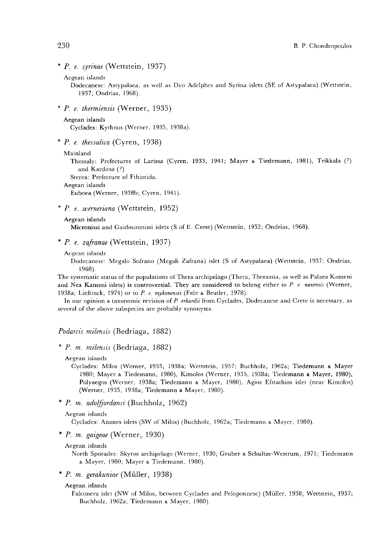\* P. e. syrinae (Wettstein, 1937)

```
Aegean islands
```
Dodecanese: Astypalaea, as well as Dyo Adelphes and Syrina islets (SE of Astypalaea) (Wettstein, 1937; Ondrias, 1968).

\* P. e. thermiensis (Werner, 1935)

```
Aegean islands
```
Cyclades: Kythnos (Werner, 1935, 1938a).

\* P. e. thessalica (Cyren, 1938)

```
Mainland
```
Thessaly: Prefectures of Larissa (Cyren, 1933, 1941; Mayer & Tiedemann, 1981), Trikkala (?) and Karditsa (?)

Sterea: Prefecture of Fthiotida.

```
Aegean islands
```
Euboea (Werner, 1938b; Cyren, 1941).

\* P. e. werneriana (Wettstein, 1952)

#### Aegean islands

Micronissi and Gaidouronissi islets (S of E. Crete) (Wettstein, 1952; Ondrias, 1968).

- \* P. e. zafranae (Wettstein, 1937)
	- Aegean islands

Dodecanese: Megalo Sofrano (Megali Zafrana) islet (S of Astypalaea) (Wettstein, 1937; Ondrias, 1968).

The systematic status of the populations of Thera archipelago (Thera, Therassia, as well as Palaea Kameni and Nea Kameni islets) is controversial. They are considered to belong either to P. e. naxensis (Werner, 1938a; Lieftinck, 1974) or to P. e. mykonensis (Frör & Beutler, 1978).

In our opinion a taxonomic revision of P. erhardii from Cyclades, Dodecanese and Crete is necessary, as several of the above subspecies are probably synonyms.

Podarcis milensis (Bedriaga, 1882)

- \* P. m. milensis (Bedriaga, 1882)
	- Aegean islands

Cyclades: Milos (Werner, 1935, 1938a; Wcttstein, 1957; Buchholz, 1962a; Tiedemann & Mayer 1980; Mayer & Tiedemann, 1980), Kimolos (Werner, 1935, 1938a; Tiedemann & Mayer, 1980), Polyaegos (Werner, 1938a; Tiedemann & Mayer, 1980), Agios Efstathios islet (near Kimolos) (Werner, 1935, 1938a; Tiedemann & Mayer, 1980).

\* P. m. adoifjordansi (Buchholz, 1962)

Cyclades: Ananes islets (SW of Milos) (Buchholz, 1962a; Tiedemann & Mayer, 1980).

# \* P. m. gaigeae (Werner, 1930)

Aegean islands

North Sporades: Skyros archipelago (Werner, 1930; Gruber & Schultze-Westrum, 1971; Tiedemann & Mayer, 1980; Mayer & Tiedemann, 1980).

\* P. m. gerakuniae (Muller, 1938)

```
Aegean islands
```
Falconera islet (NW of Milos, between Cyclades and Peloponnese) (Müller, 1938; Wettstein, 1957; Buchholz, 1962a; Tiedemann & Mayer, 1980).

230

Aegean islands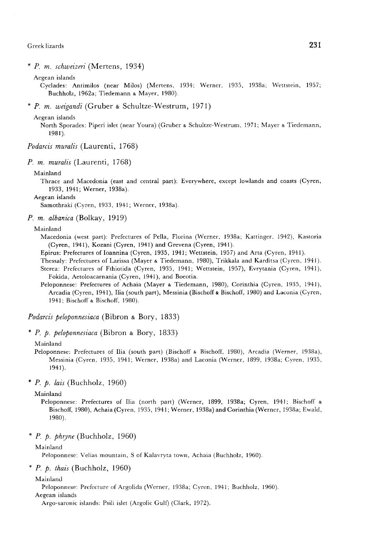\* P. m. schtueizeri (Mertens, 1934)

Aegean islands

Cyclades: Antimilos (near Milos) (Mertens, 1934; Werner, 1935, 1938a; Wettstein, 1957; Buchholz, 1962a; Tiedemann & Mayer, 1980).

\* P. m. weigandi (Gruber & Schultze-Westrum, 1971)

Aegean islands

North Sporades: Piperi islet (near Youra) (Gruber & Schultze-Westrum, 1971; Mayer & Tiedemann,  $1981$ .

Podarcis muralis (Laurenti, 1768)

P. m. muralis (Laurenti, 1768)

#### Mainland

Thrace and Macedonia (east and central part): Everywhere, except lowlands and coasts (Cyren, 1933, 1941; Werner, 1938a).

Aegean islands

Samothraki (Cyren, 1933, 1941; Werner, 1938a).

P. m. albanica (Bolkay, 1919)

Mainland

Macedonia (west part): Prefectures of Pella, Florina (Werner, 1938a; Kattinger, 1942), Kastoria (Cyren, 1941), Kozani (Cyren, 1941) and Grevena (Cyren, 1941).

Epirus: Prefectures of Ioannina (Cyren, 1935, 1941; Wettstein, 1957) and Arta (Cyren, 1941).

Thessaly: Prefectures of Larissa (Mayer & Tiedemann, 1980), Trikkala and Karditsa (Cyren, 1941). Sterea: Prefectures of Fthiotida (Cyren, 1935, 1941; Wettstein, 1957), Evrytania (Cyren, 1941), Fokida, Aetoloacarnania (Cyren, 1941), and Boeotia.

Peloponnese: Prefectures of Achaia (Mayer & Tiedemann, 1980), Corinthia (Cyren, 1935, 1941), Arcadia (Cyren, 1941), Ilia (south part), Messinia (Bischoff & Bischoff, 1980) and Laconia (Cyren, 1941; Bischoff & Bischoff, 1980).

Podarcis peloponnesiaca (Bibron & Bory, 1833)

\* P. p. peloponnesiaca (Bibron & Bory, 1833)

Mainland

Peloponnese: Prefectures of Ilia (south part) (Bischoff & Bischoff, 1980), Arcadia (Werner, 1938a), Messinia (Cyren, 1935, 1941; Werner, 1938a) and Laconia (Werner, 1899, 1938a; Cyren, 1935,  $1941$ .

 $*$  P. p. lais (Buchholz, 1960)

#### Mainland

Peloponnese: Prefectures of Ilia (north part) (Werner, 1899, 1938a; Cyren, 1941; Bischoff & Bischoff, 1980), Achaia (Cyren, 1935, 1941; Werner, 1938a) and Corinthia (Werner, 1938a; Ewald, 1980).

 $*$  *P. p. phryne* (Buchholz, 1960)

# Mainland

Peloponnese: Velias mountain, S of Kalavryta town, Achaia (Buchholz, 1960).

 $*$  P. p. thais (Buchholz, 1960)

Mainland

Peloponnese: Prefecture of Argolida (Werner, 1938a; Cyren, 1941; Buchholz, 1960).

Aegean islands

Argo-saronic islands: Psili islet (Argolic Gulf) (Clark, 1972).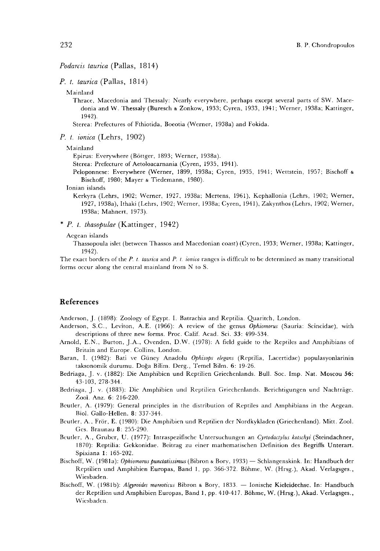# Podarcis taurica (Pallas, 1814)

P. t. taurica (Pallas, 1814)

Mainland

Thrace, Macedonia and Thessaly: Nearly everywhere, perhaps except several parts of SW. Macedonia and W. Thessaly (Buresch & Zonkow, 1933; Cyren, 1933, 1941; Werner, 1938a; Kattinger, 1942).

Sterea: Prefectures of Fthiotida, Boeotia (Werner, 1938a) and Fokida.

P. t. ionica (Lehrs, 1902)

Mainland

Epirus: Everywhere (B6ttger, 1893; Werner, 1938a).

Sterea: Prefecture of Aetoloacarnania (Cyren, 1935, 1941).

Peloponnese: Everywhere (Werner, 1899, 1938a; Cyren, 1935, 1941; Wettstein, 1957; Bischoff & Bischoff, 1980; Mayer & Tiedemann, 1980).

Ionian islands

Kerkyra (Lehrs, 1902; Werner, 1927, 1938a; Mertens, 1961), Kephallonia (Lehrs, 1902; Werner, 1927, 1938a), Ithaki (Lehrs, 1902; Werner, 1938a; Cyren, 1941), Zakynthos (Lehrs, 1902; Werner, 1938a; Mahnert, 1973).

\* P. t. thasopulae (Kattinger, 1942)

Aegean islands

Thassopoula islet (between Thassos and Macedonian coast) (Cyren, 1933; Werner, 1938a; Kattinger, 1942).

The exact borders of the P. t. taurica and P. t. ionica ranges is difficult to be determined as many transitional forms occur along the central mainland from N to S.

# References

Anderson, J. (1898): Zoology of Egypt. I. Batrachia and Reptilia. Quaritch, London.

- Anderson, S.C., Leviton, A.E. (1966): A review of the genus Ophiomorus (Sauria: Scincidae), with descriptions of three new forms. Proc. Calif. Acad. Sci. 33: 499-534.
- Arnold, E.N., Burton, J.A., Ovenden, D.W. (1978): A field guide to the Reptiles and Amphibians of Britain and Europe. Collins, London.
- Baran, I. (1982): Bati ve Güney Anadolu Ophisops elegans (Reptilia, Lacertidae) populasyonlarinin taksonomik durumu. Doga Bilim. Derg., Temel Bilm. 6: 19-26.
- Bedriaga, J. v. (1882): Die Amphibien und Reptilien Griechenlands. Bull. Soc. Imp. Nat. Moscou 56: 43-103, 278-344.

Bedriaga, J. v. (1883): Die Amphibien und Reptilien Griechenlands. Berichtigungen und Nachträge. Zool. Anz. 6: 216-220.

- Beutler, A. (1979): General principles in the distribution of Reptiles and Amphibians in the Aegean. Biol. Gallo-Hellen. 8: 337-344.
- Bcutler, A., Frör, E. (1980): Die Amphibien und Reptilien der Nordkykladen (Griechenland). Mitt. Zool. Ges. Braunau 8: 255-290.
- Beutler, A., Gruber, U. (1977): Intraspezifische Untersuchungen an Cyrtodactylus kotschyi (Steindachner, 1870): Reptilia: Gekkonidae. Beitrag zu einer mathematischen Definition des Begriffs Unterart. Spixiana 1: 165-202.
- Bischoff, W. (1981a): Ophiomorus punctatissimus (Bibron & Bory, 1933) Schlangenskink. In: Handbuch der Reptilien und Amphibien Europas, Band 1, pp. 366-372. Böhme, W. (Hrsg.), Akad. Verlagsges., Wiesbaden.
- Bischoff, W. (1981b): Algyroides moreoticus Bibron & Bory, 1833. Ionische Kieleidechse. In: Handbuch der Reptilien und Amphibien Europas, Band 1, pp. 410-417. Böhme, W. (Hrsg.), Akad. Verlagsges., Wiesbaden.

232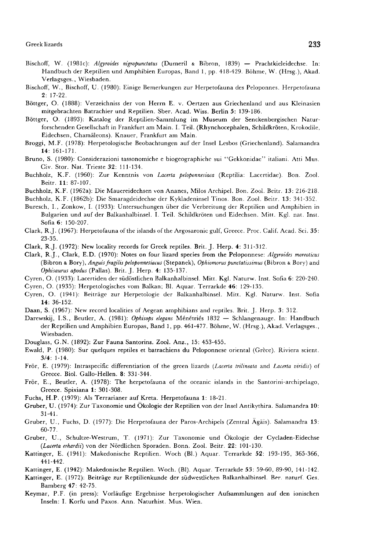- Bischoff, W. (1981c): Algyroides nigropunctatus (Dumeril & Bibron, 1839) Prachtkieleidechse. In: Handbuch der Reptilien und Amphibien Europas, Band 1, pp. 418-429. Böhme, W. (Hrsg.), Akad. Verlagsges., Wiesbaden.
- Bischoff, W., Bischoff, U. (1980): Einige Bemerkungen zur Herpetofauna des Peloponnes. Herpetofauna 2: 17-22.
- Böttger, O. (1888): Verzeichniss der von Herrn E. v. Oertzen aus Griechenland und aus Kleinasien mitgebrachten Batrachier und Reptilien. Sber. Acad. Wiss. Berlin 5: 139-186.
- Böttger, O. (1893): Katalog der Reptilien-Sammlung im Museum der Senckenbergischen Naturforschenden Gesellschaft in Frankfurt am Main. I. Teil. (Rhynchocephalen, Schildkröten, Krokodile, Eidechsen, Chamäleons). Knauer, Frankfurt am Main.
- Broggi, M.F. (1978): Herpetologische Beobachtungen auf der Insel Lesbos (Griechenland). Salamandra 14: 161-171.
- Bruno, S. (1980): Considerazioni tassonomiche e biogeographiche sui "Gekkonidae" italiani. Atti Mus. Civ. Stor. Nat. Trieste 32: 111-134.
- Buchholz, K.F. (1960): Zur Kenntnis von Lacerta peloponnesiaca (Reptilia: Lacertidae). Bon. Zool. Beitr. 11: 87-107.
- Buchholz, K.F. (1962a): Die Mauereidechsen von Ananes, Milos Archipel. Bon. Zool. Beitr. 13: 216-218.
- Buchholz, K.F. (1862b): Die Smaragdeidechse der Kykladeninsel Tinos. Bon. Zool. Beitr. 13: 341-352.
- Buresch, I., Zonkow, I. (1933): Untersuchungen über die Verbreitung der Reptilien und Amphibien in Bulgarien und auf der Balkanhalbinsel. I. Teil. Schildkröten und Eidechsen. Mitt. Kgl. nat. Inst. Sofia 6: 150-207.
- Clark, R.J. (1967): Herpetofauna of the islands of the Argosaronic gulf, Greece. Proc. Calif. Acad. Sci. 35: 23-35.
- Clark, R.J. (1972): New locality records for Greek reptiles. Brit. J. Herp. 4: 311-312.
- Clark, R.J., Clark, E.D. (1970): Notes on four lizard species from the Peloponnese: Algyroides moreoticus (Bibron & Bory), Anguis fragilis peloponnesiacus (Stepanek), Ophiomorus punctatissimus (Bibron & Bory) and Ophisaurus apodus (Pallas). Brit. J. Herp. 4: 135-137.
- Cyren, O. (1933): Lacertiden der südöstlichen Balkanhalbinsel. Mitt. Kgl. Naturw. Inst. Sofia 6: 220-240.
- Cyren, O. (1935): Herpetologisches vom Balkan; Bl. Aquar. Terrarkde 46: 129-135.
- Cyren, O. (1941): Beiträge zur Herpetologie der Balkanhalbinsel. Mitt. Kgl. Naturw. Inst. Sofia 14: 36-152.
- Daan, S. (1967): New record localities of Aegean amphibians and reptiles. Brit. J. Herp. 3: 312.
- Darewskij, I.S., Beutler, A. (1981): Ophisops elegans Ménétriés 1832 Schlangenauge. In: Handbuch der Reptilien und Amphibien Europas, Band 1, pp. 461-477. Böhme, W. (Hrsg.), Akad. Verlagsges., Wiesbaden.
- Douglass, G.N. (1892): Zur Fauna Santorins. Zool. Anz., 15: 453-455.
- Ewald, P. (1980): Sur quelques reptiles et batrachiens du Peloponnese oriental (Grèce). Riviera scient. 3/4: 1-14.
- Frör, E. (1979): Intraspecific differentiation of the green lizards (Lacerta trilineata and Lacerta viridis) of Greece. Biol. Gallo-Hellen. 8: 331-344.
- Frör, E., Beutler, A. (1978): The herpetofauna of the oceanic islands in the Santorini-archipelago, Greece. Spixiana 1: 301-308.
- Fuchs, H.P. (1979): Als Terrarianer auf Kreta. Herpetofauna 1: 18-21.
- Gruber, U. (1974): Zur Taxonomie und Ökologie der Reptilien von der Insel Antikythira. Salamandra 10: 31-41.
- Gruber, U., Fuchs, D. (1977): Die Herpetofauna der Paros-Archipels (Zentral Ägäis). Salamandra 13: 60-77.
- Gruber, U., Schultze-Westrum, T. (1971): Zur Taxonomie und Ökologie der Cycladen-Eidechse (Lacerta erhardii) von der Nördlichen Sporaden. Bonn. Zool. Beitr. 22: 101-130.
- Kattinger, E. (1941): Makedonische Reptilien. Woch (BI.) Aquar. Terrarkde 52: 193-195, 365-366, 441-442.
- Kattinger, E. (1942): Makedonische Reptilien. Woch. (BI). Aquar. Terrarkde 53: 59-60, 89-90, 141-142.
- Kattinger, E. (1972): Beiträge zur Reptilienkunde der südwestliehen Balkanhalbinsel. Ber. naturf. Ges. Bamberg 47: 42-75.
- Keymar, P.F. (in press): Vorläufige Ergebnisse herpetologischer Aufsammlungen auf den ionischen Inseln: I. Korfu und Paxos. Ann. Naturhist. Mus. Wien.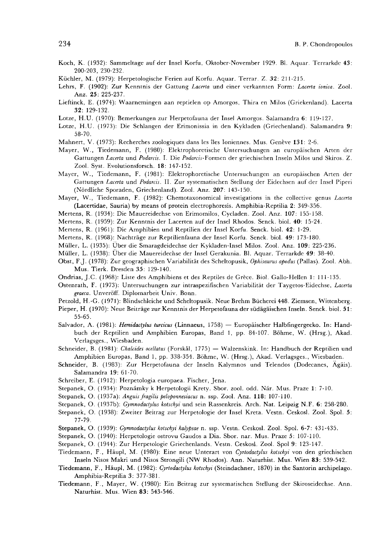- Koch, K. (1932): Sammeltage auf der Insel Korfu, Oktober-November 1929. Bl. Aquar. Terrarkde 43: 200-203, 230-232.
- Küchler, M. (1979): Herpetologische Ferien auf Korfu. Aquar. Terrar. Z. 32: 211-215.
- Lehrs, F. (1902): Zur Kenntnis der Gattung Lacerta und einer verkannten Form: Lacerta ionica. Zool. Anz. 25: 225-237.
- Lieftinck, E. (1974): Waarnemingen aan reptielen op Amorgos, Thira en Milos (Griekenland). Lacerta 32: 129-132.
- Lotze, H.U. (1970): Bemerkungen zur Herpetofauna der Insel Amorgos. Salamandra 6: 119-127.
- Lotze, H.U. (1973): Die Schlangen der Erimonissia in den Kykladen (Griechenland). Salamandra 9: 58-70.
- Mahnert, V. (1973): Recherches zoologiques dans les îles Ioniennes. Mus. Genève 131: 2-6.
- Mayer, W., Tiedemann, F. (1980): Elektrophoretische Untersuchungen an europäischen Arten der Gattungen Lacerta und Podarcis. I. Die Podarcis-Formen der griechischen Inseln Milos und Skiros. Z. Zool. Syst. Evolutionsforsch. 18: 147-152.
- Mayer, W., Tiedemann, F. (1981): Elektrophoretische Untersuchungen an europäischen Arten der Gattungen Lacerta und Podarcis. II. Zur systematischen Stellung der Eidechsen auf der Insel Piperi (Nördliche Sporaden, Griechenland). Zool. Anz. 207: 143-150.
- Mayer, W., Tiedemann, F. (1982): Chemotaxonomical investigations in the collective genus Lacerta (Lacertidae, Sauria) by means of protein electrophoresis. Amphibia-Reptilia 2: 349-356.
- Mertens, R. (1934): Die Mauereidechse von Erimomilos, Cycladen. Zool. Anz. 107: 155-158.
- Mertens, R. (1959): Zur Kenntnis der Lacerten auf der Insel Rhodos. Senck. biol. 40: 15-24.
- Mertens, R. (1961): Die Amphibien und Reptilien der Insel Korfu. Senck. biol. 42: 1-29.
- Mertens, R. (1968): Naehträge zur Reptilienfauna der Insel Korfu. Senck. biol. 49: 173-180.
- Müller, L. (1935): Über die Smaragdeidechse der Kykladen-Insel Milos. Zool. Anz. 109: 225-236.
- Müller, L. (1938): Über die Mauereidechse der Insel Gerakunia. Bl. Aquar. Terrarkde 49: 38-40.
- Obst, F.J. (1978): Zur geographischen Variabilitat des Scheltopusik, Ophisaurus apodus (Pallas). Zool. Abh. Mus. Tierk. Dresden 35: 129-140.
- Ondrias, J.C. (1968): Liste des Amphibiens et des Reptiles de Grèce. Biol- Gallo-Hellen 1: 111-135.
- Ostenrath, F. (1973): Untersuchungen zur intraspezifischen Variabilität der Taygetos-Eidechse, Lacerta graeca. Unveröff. Diplomarbeit Univ. Bonn.
- Petzold, H.-G. (1971): Blindschleiche und Scheltopusik. Neue Brehm Bücherei 448. Ziemsen, Wittenberg.
- Pieper, H. (1970): Neue Beiträge zur Kenntnis der Herpetofauna der südägäischen Inseln. Senck. biol. 51: 55-65.
- Salvador, A. (1981): Hemidactylus turcicus (Linnaeus, 1758) Europäischer Halbfingergecko. In: Handbuch der Reptilien und Amphibien Europas, Band 1, pp. 84-107. Böhme, W. (Hrsg.), Akad. Verlagsges., Wiesbaden.
- Schneider, B. (1981): Chalcides ocellatus (Forskål, 1775) Walzenskink. In: Handbuch der Reptilien und Amphibien Europas, Band 1, pp. 338-354. Böhme, W. (Hrsg.), Akad. Verlagsges., Wiesbaden.
- Schneider, B. (1983): Zur Herpetofauna der Inseln Kalymnos und Telendos (Dodecanes, Ägäis). Salamandra 19: 61-70.
- Schreiber, E. (1912): Herpetologia europaea. Fischer, Jena.
- Stepanek, O. (1934): Poznámky k Herpetologii Krety. Sbor. zool. odd. Nár. Mus. Praze 1: 7-10.
- Stepanek, O. (1937a): Anguis fragilis peloponnesiacus n. ssp. Zool. Anz. 118: 107-110.
- Stepanek, O. (1937b): Gymnodactylus kotschyi und sein Rassenkreis. Arch. Nat. Leipzig N.F. 6: 258-280.
- Stepanek, O. (1938): Zweiter Beitrag zur Herpetologie der Insel Kreta. Vestn. Ceskosl. Zool. Spol. 5: 77-79.
- Stepanek, O. (1939): Gymnodactylus kotschyi kalypsae n. ssp. Vestn. Ceskosl. Zool. Spol. 6-7: 431-435.
- Stepanek, O. (1940): Herpetologie ostrovu Gaudos a Dia. Sbor. nar. Mus. Praze 5: 107-110.
- Stepanek, O. (1944): Zur Herpetologie Griechenlands. Vestn. Ceskosi. Zool. Spol 9: 123-147.
- Tiedemann, F., Häupl, M. (1980): Eine neue Unterart von Cyrtodactylus kotschyi von den griechischen Inseln Nisos Makri und Nisos Strongili (NW Rhodos). Ann. Naturhist. Mus. Wien 83: 539-542.
- Tiedemann, F., Häupl, M. (1982): Cyrtodactylus kotschyi (Steindachner, 1870) in the Santorin archipelago. Amphibia-Reptilia 3: 377-381.
- Tiedemann, F., Mayer, W. (1980): Ein Beitrag zur systematischen Stellung der Skiroseidechse. Ann. Naturhist. Mus. Wien 83: 543-546.